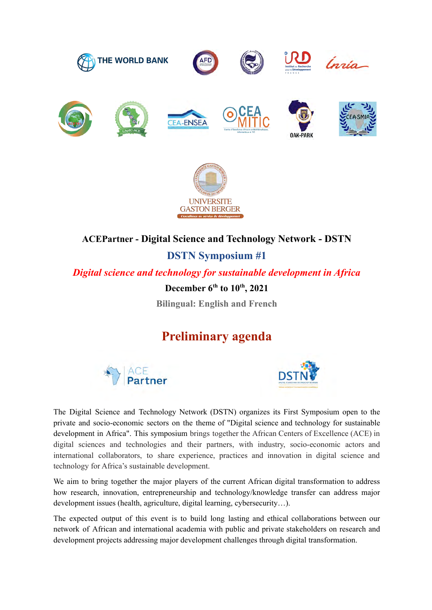



**UNIVERSITE GASTON BERGER** 

**DSTN Symposium #1**

*Digital science and technology for sustainable development in Africa*

**December 6th to 10th, 2021**

**Bilingual: English and French**

## **Preliminary agenda**





The Digital Science and Technology Network (DSTN) organizes its First Symposium open to the private and socio-economic sectors on the theme of "Digital science and technology for sustainable development in Africa". This symposium brings together the African Centers of Excellence (ACE) in digital sciences and technologies and their partners, with industry, socio-economic actors and international collaborators, to share experience, practices and innovation in digital science and technology for Africa's sustainable development.

We aim to bring together the major players of the current African digital transformation to address how research, innovation, entrepreneurship and technology/knowledge transfer can address major development issues (health, agriculture, digital learning, cybersecurity…).

The expected output of this event is to build long lasting and ethical collaborations between our network of African and international academia with public and private stakeholders on research and development projects addressing major development challenges through digital transformation.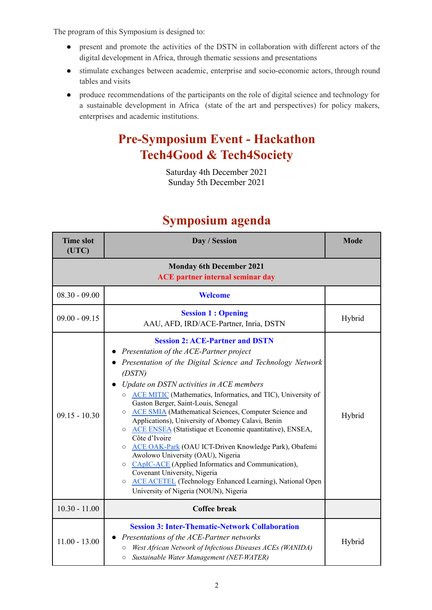The program of this Symposium is designed to:

- present and promote the activities of the DSTN in collaboration with different actors of the digital development in Africa, through thematic sessions and presentations
- stimulate exchanges between academic, enterprise and socio-economic actors, through round tables and visits
- produce recommendations of the participants on the role of digital science and technology for a sustainable development in Africa (state of the art and perspectives) for policy makers, enterprises and academic institutions.

# **Pre-Symposium Event - Hackathon Tech4Good & Tech4Society**

Saturday 4th December 2021 Sunday 5th December 2021

| <b>Time slot</b><br>(UTC) | Day / Session                                                                                                                                                                                                                                                                                                                                                                                                                                                                                                                                                                                                                                                                                                                                                                                                                                                         | <b>Mode</b> |
|---------------------------|-----------------------------------------------------------------------------------------------------------------------------------------------------------------------------------------------------------------------------------------------------------------------------------------------------------------------------------------------------------------------------------------------------------------------------------------------------------------------------------------------------------------------------------------------------------------------------------------------------------------------------------------------------------------------------------------------------------------------------------------------------------------------------------------------------------------------------------------------------------------------|-------------|
|                           |                                                                                                                                                                                                                                                                                                                                                                                                                                                                                                                                                                                                                                                                                                                                                                                                                                                                       |             |
| $08.30 - 09.00$           | <b>Welcome</b>                                                                                                                                                                                                                                                                                                                                                                                                                                                                                                                                                                                                                                                                                                                                                                                                                                                        |             |
| $09.00 - 09.15$           | <b>Session 1: Opening</b><br>AAU, AFD, IRD/ACE-Partner, Inria, DSTN                                                                                                                                                                                                                                                                                                                                                                                                                                                                                                                                                                                                                                                                                                                                                                                                   | Hybrid      |
| $09.15 - 10.30$           | <b>Session 2: ACE-Partner and DSTN</b><br>Presentation of the ACE-Partner project<br>Presentation of the Digital Science and Technology Network<br>(DSTN)<br>Update on DSTN activities in ACE members<br>o ACE MITIC (Mathematics, Informatics, and TIC), University of<br>Gaston Berger, Saint-Louis, Senegal<br><b>ACE SMIA</b> (Mathematical Sciences, Computer Science and<br>$\circ$<br>Applications), University of Abomey Calavi, Benin<br><b>ACE ENSEA</b> (Statistique et Economie quantitative), ENSEA,<br>$\circ$<br>Côte d'Ivoire<br>ACE OAK-Park (OAU ICT-Driven Knowledge Park), Obafemi<br>$\circ$<br>Awolowo University (OAU), Nigeria<br>O CApIC-ACE (Applied Informatics and Communication),<br>Covenant University, Nigeria<br><b>ACE ACETEL</b> (Technology Enhanced Learning), National Open<br>$\circ$<br>University of Nigeria (NOUN), Nigeria | Hybrid      |
| $10.30 - 11.00$           | <b>Coffee break</b>                                                                                                                                                                                                                                                                                                                                                                                                                                                                                                                                                                                                                                                                                                                                                                                                                                                   |             |
| $11.00 - 13.00$           | <b>Session 3: Inter-Thematic-Network Collaboration</b><br>Presentations of the ACE-Partner networks<br>West African Network of Infectious Diseases ACEs (WANIDA)<br>$\circ$<br>Sustainable Water Management (NET-WATER)<br>$\circ$                                                                                                                                                                                                                                                                                                                                                                                                                                                                                                                                                                                                                                    | Hybrid      |

### **Symposium agenda**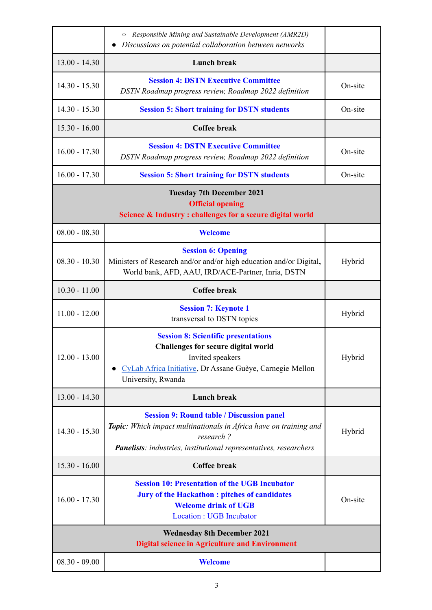|                                                                                                                          | Responsible Mining and Sustainable Development (AMR2D)<br>$\circ$<br>Discussions on potential collaboration between networks                                                                                    |         |
|--------------------------------------------------------------------------------------------------------------------------|-----------------------------------------------------------------------------------------------------------------------------------------------------------------------------------------------------------------|---------|
| $13.00 - 14.30$                                                                                                          | <b>Lunch break</b>                                                                                                                                                                                              |         |
| $14.30 - 15.30$                                                                                                          | <b>Session 4: DSTN Executive Committee</b><br>DSTN Roadmap progress review, Roadmap 2022 definition                                                                                                             | On-site |
| $14.30 - 15.30$                                                                                                          | <b>Session 5: Short training for DSTN students</b>                                                                                                                                                              | On-site |
| $15.30 - 16.00$                                                                                                          | <b>Coffee break</b>                                                                                                                                                                                             |         |
| $16.00 - 17.30$                                                                                                          | <b>Session 4: DSTN Executive Committee</b><br>DSTN Roadmap progress review, Roadmap 2022 definition                                                                                                             | On-site |
| $16.00 - 17.30$                                                                                                          | <b>Session 5: Short training for DSTN students</b>                                                                                                                                                              | On-site |
| <b>Tuesday 7th December 2021</b><br><b>Official opening</b><br>Science & Industry: challenges for a secure digital world |                                                                                                                                                                                                                 |         |
| $08.00 - 08.30$                                                                                                          | <b>Welcome</b>                                                                                                                                                                                                  |         |
| $08.30 - 10.30$                                                                                                          | <b>Session 6: Opening</b><br>Ministers of Research and/or and/or high education and/or Digital,<br>World bank, AFD, AAU, IRD/ACE-Partner, Inria, DSTN                                                           | Hybrid  |
| $10.30 - 11.00$                                                                                                          | <b>Coffee break</b>                                                                                                                                                                                             |         |
| $11.00 - 12.00$                                                                                                          | <b>Session 7: Keynote 1</b><br>transversal to DSTN topics                                                                                                                                                       | Hybrid  |
| $12.00 - 13.00$                                                                                                          | <b>Session 8: Scientific presentations</b><br><b>Challenges for secure digital world</b><br>Invited speakers<br>CyLab Africa Initiative, Dr Assane Guèye, Carnegie Mellon<br>University, Rwanda                 | Hybrid  |
| $13.00 - 14.30$                                                                                                          | <b>Lunch break</b>                                                                                                                                                                                              |         |
| $14.30 - 15.30$                                                                                                          | <b>Session 9: Round table / Discussion panel</b><br>Topic: Which impact multinationals in Africa have on training and<br>research?<br><b>Panelists</b> : industries, institutional representatives, researchers | Hybrid  |
| $15.30 - 16.00$                                                                                                          | <b>Coffee break</b>                                                                                                                                                                                             |         |
| $16.00 - 17.30$                                                                                                          | <b>Session 10: Presentation of the UGB Incubator</b><br><b>Jury of the Hackathon: pitches of candidates</b><br><b>Welcome drink of UGB</b><br><b>Location: UGB Incubator</b>                                    | On-site |
| <b>Wednesday 8th December 2021</b><br><b>Digital science in Agriculture and Environment</b>                              |                                                                                                                                                                                                                 |         |
| $08.30 - 09.00$                                                                                                          | <b>Welcome</b>                                                                                                                                                                                                  |         |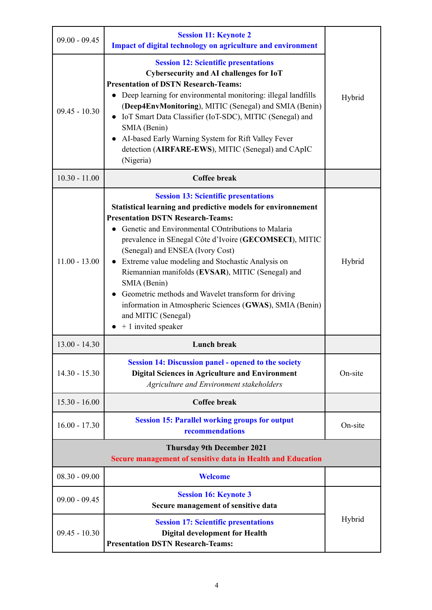| $09.00 - 09.45$ | <b>Session 11: Keynote 2</b><br><b>Impact of digital technology on agriculture and environment</b>                                                                                                                                                                                                                                                                                                                                                                                                                                                                                                        |         |
|-----------------|-----------------------------------------------------------------------------------------------------------------------------------------------------------------------------------------------------------------------------------------------------------------------------------------------------------------------------------------------------------------------------------------------------------------------------------------------------------------------------------------------------------------------------------------------------------------------------------------------------------|---------|
| $09.45 - 10.30$ | <b>Session 12: Scientific presentations</b><br>Cybersecurity and AI challenges for IoT<br><b>Presentation of DSTN Research-Teams:</b><br>Deep learning for environmental monitoring: illegal landfills<br>(Deep4EnvMonitoring), MITIC (Senegal) and SMIA (Benin)<br>• IoT Smart Data Classifier (IoT-SDC), MITIC (Senegal) and<br>SMIA (Benin)<br>AI-based Early Warning System for Rift Valley Fever<br>detection (AIRFARE-EWS), MITIC (Senegal) and CApIC<br>(Nigeria)                                                                                                                                  | Hybrid  |
| $10.30 - 11.00$ | <b>Coffee break</b>                                                                                                                                                                                                                                                                                                                                                                                                                                                                                                                                                                                       |         |
| $11.00 - 13.00$ | <b>Session 13: Scientific presentations</b><br>Statistical learning and predictive models for environnement<br><b>Presentation DSTN Research-Teams:</b><br>Genetic and Environmental COntributions to Malaria<br>prevalence in SEnegal Côte d'Ivoire (GECOMSECI), MITIC<br>(Senegal) and ENSEA (Ivory Cost)<br>• Extreme value modeling and Stochastic Analysis on<br>Riemannian manifolds (EVSAR), MITIC (Senegal) and<br>SMIA (Benin)<br>Geometric methods and Wavelet transform for driving<br>information in Atmospheric Sciences (GWAS), SMIA (Benin)<br>and MITIC (Senegal)<br>$+1$ invited speaker | Hybrid  |
| $13.00 - 14.30$ | <b>Lunch break</b>                                                                                                                                                                                                                                                                                                                                                                                                                                                                                                                                                                                        |         |
| $14.30 - 15.30$ | <b>Session 14: Discussion panel - opened to the society</b><br><b>Digital Sciences in Agriculture and Environment</b><br>Agriculture and Environment stakeholders                                                                                                                                                                                                                                                                                                                                                                                                                                         | On-site |
| $15.30 - 16.00$ | <b>Coffee break</b>                                                                                                                                                                                                                                                                                                                                                                                                                                                                                                                                                                                       |         |
| $16.00 - 17.30$ | <b>Session 15: Parallel working groups for output</b><br>recommendations                                                                                                                                                                                                                                                                                                                                                                                                                                                                                                                                  | On-site |
|                 |                                                                                                                                                                                                                                                                                                                                                                                                                                                                                                                                                                                                           |         |
| $08.30 - 09.00$ | Welcome                                                                                                                                                                                                                                                                                                                                                                                                                                                                                                                                                                                                   |         |
| $09.00 - 09.45$ | <b>Session 16: Keynote 3</b><br>Secure management of sensitive data                                                                                                                                                                                                                                                                                                                                                                                                                                                                                                                                       |         |
| $09.45 - 10.30$ | <b>Session 17: Scientific presentations</b><br><b>Digital development for Health</b><br><b>Presentation DSTN Research-Teams:</b>                                                                                                                                                                                                                                                                                                                                                                                                                                                                          | Hybrid  |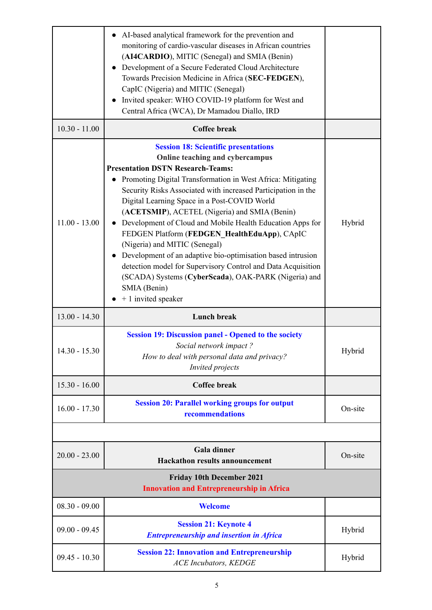|                 | AI-based analytical framework for the prevention and<br>monitoring of cardio-vascular diseases in African countries<br>(AI4CARDIO), MITIC (Senegal) and SMIA (Benin)<br>Development of a Secure Federated Cloud Architecture<br>Towards Precision Medicine in Africa (SEC-FEDGEN),<br>CapIC (Nigeria) and MITIC (Senegal)<br>Invited speaker: WHO COVID-19 platform for West and<br>Central Africa (WCA), Dr Mamadou Diallo, IRD                                                                                                                                                                                                                                                                                                        |         |
|-----------------|-----------------------------------------------------------------------------------------------------------------------------------------------------------------------------------------------------------------------------------------------------------------------------------------------------------------------------------------------------------------------------------------------------------------------------------------------------------------------------------------------------------------------------------------------------------------------------------------------------------------------------------------------------------------------------------------------------------------------------------------|---------|
| $10.30 - 11.00$ | <b>Coffee break</b>                                                                                                                                                                                                                                                                                                                                                                                                                                                                                                                                                                                                                                                                                                                     |         |
| $11.00 - 13.00$ | <b>Session 18: Scientific presentations</b><br>Online teaching and cybercampus<br><b>Presentation DSTN Research-Teams:</b><br>Promoting Digital Transformation in West Africa: Mitigating<br>Security Risks Associated with increased Participation in the<br>Digital Learning Space in a Post-COVID World<br>(ACETSMIP), ACETEL (Nigeria) and SMIA (Benin)<br>Development of Cloud and Mobile Health Education Apps for<br>FEDGEN Platform (FEDGEN_HealthEduApp), CApIC<br>(Nigeria) and MITIC (Senegal)<br>Development of an adaptive bio-optimisation based intrusion<br>detection model for Supervisory Control and Data Acquisition<br>(SCADA) Systems (CyberScada), OAK-PARK (Nigeria) and<br>SMIA (Benin)<br>+ 1 invited speaker | Hybrid  |
| $13.00 - 14.30$ | <b>Lunch break</b>                                                                                                                                                                                                                                                                                                                                                                                                                                                                                                                                                                                                                                                                                                                      |         |
| $14.30 - 15.30$ | <b>Session 19: Discussion panel - Opened to the society</b><br>Social network impact?<br>How to deal with personal data and privacy?<br>Invited projects                                                                                                                                                                                                                                                                                                                                                                                                                                                                                                                                                                                | Hybrid  |
| $15.30 - 16.00$ | <b>Coffee break</b>                                                                                                                                                                                                                                                                                                                                                                                                                                                                                                                                                                                                                                                                                                                     |         |
| $16.00 - 17.30$ | <b>Session 20: Parallel working groups for output</b><br>recommendations                                                                                                                                                                                                                                                                                                                                                                                                                                                                                                                                                                                                                                                                | On-site |
|                 |                                                                                                                                                                                                                                                                                                                                                                                                                                                                                                                                                                                                                                                                                                                                         |         |
| $20.00 - 23.00$ | <b>Gala dinner</b><br><b>Hackathon results announcement</b>                                                                                                                                                                                                                                                                                                                                                                                                                                                                                                                                                                                                                                                                             | On-site |
|                 | <b>Friday 10th December 2021</b><br><b>Innovation and Entrepreneurship in Africa</b>                                                                                                                                                                                                                                                                                                                                                                                                                                                                                                                                                                                                                                                    |         |
| $08.30 - 09.00$ | <b>Welcome</b>                                                                                                                                                                                                                                                                                                                                                                                                                                                                                                                                                                                                                                                                                                                          |         |
| $09.00 - 09.45$ | <b>Session 21: Keynote 4</b><br><b>Entrepreneurship and insertion in Africa</b>                                                                                                                                                                                                                                                                                                                                                                                                                                                                                                                                                                                                                                                         | Hybrid  |
| $09.45 - 10.30$ | <b>Session 22: Innovation and Entrepreneurship</b><br><b>ACE</b> Incubators, KEDGE                                                                                                                                                                                                                                                                                                                                                                                                                                                                                                                                                                                                                                                      | Hybrid  |